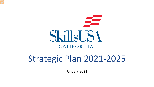

# Strategic Plan 2021-2025

January 2021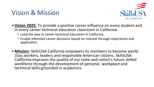### Vision & Mission



- **Vision 2025:** To provide a positive career influence on every student and in every career technical education classroom in California.
	- Lead the way in career technical education in California.
	- Enable informed career decisions based on interest through experience and application.
- **Mission:** SkillsUSA California empowers its members to become world- class workers, leaders and responsible American citizens. SkillsUSA California improves the quality of our state and nation's future skilled workforce through the development of personal, workplace and technical skills grounded in academics.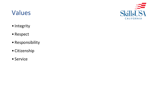### Values



- Integrity
- Respect
- Responsibility
- Citizenship
- Service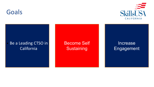



#### Be a Leading CTSO in California

Become Self **Sustaining** 

Increase Engagement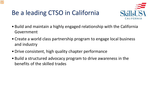### Be a leading CTSO in California



- Build and maintain a highly engaged relationship with the California Government
- Create a world class partnership program to engage local business and industry
- •Drive consistent, high quality chapter performance
- Build a structured advocacy program to drive awareness in the benefits of the skilled trades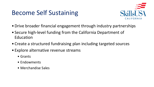### Become Self Sustaining



- •Drive broader financial engagement through industry partnerships
- Secure high-level funding from the California Department of Education
- Create a structured fundraising plan including targeted sources
- Explore alternative revenue streams
	- Grants
	- Endowments
	- Merchandise Sales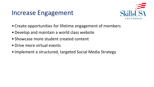#### Increase Engagement



- Create opportunities for lifetime engagement of members
- •Develop and maintain a world class website
- Showcase more student created content
- •Drive more virtual events
- Implement a structured, targeted Social Media Strategy